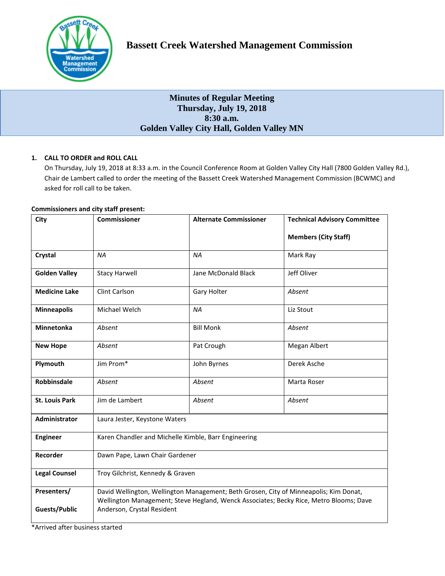

# **Minutes of Regular Meeting Thursday, July 19, 2018 8:30 a.m. Golden Valley City Hall, Golden Valley MN**

## **1. CALL TO ORDER and ROLL CALL**

On Thursday, July 19, 2018 at 8:33 a.m. in the Council Conference Room at Golden Valley City Hall (7800 Golden Valley Rd.), Chair de Lambert called to order the meeting of the Bassett Creek Watershed Management Commission (BCWMC) and asked for roll call to be taken.

## **Commissioners and city staff present:**

| City                  | <b>Commissioner</b>                                                                                                                                                             | <b>Alternate Commissioner</b> | <b>Technical Advisory Committee</b> |
|-----------------------|---------------------------------------------------------------------------------------------------------------------------------------------------------------------------------|-------------------------------|-------------------------------------|
|                       |                                                                                                                                                                                 |                               | <b>Members (City Staff)</b>         |
| Crystal               | <b>NA</b>                                                                                                                                                                       | <b>NA</b>                     | Mark Ray                            |
| <b>Golden Valley</b>  | <b>Stacy Harwell</b>                                                                                                                                                            | Jane McDonald Black           | Jeff Oliver                         |
| <b>Medicine Lake</b>  | Clint Carlson                                                                                                                                                                   | Gary Holter                   | Absent                              |
| <b>Minneapolis</b>    | Michael Welch                                                                                                                                                                   | <b>NA</b>                     | Liz Stout                           |
| <b>Minnetonka</b>     | Absent                                                                                                                                                                          | <b>Bill Monk</b>              | Absent                              |
| <b>New Hope</b>       | Absent                                                                                                                                                                          | Pat Crough                    | Megan Albert                        |
| Plymouth              | Jim Prom*                                                                                                                                                                       | John Byrnes                   | Derek Asche                         |
| <b>Robbinsdale</b>    | Absent                                                                                                                                                                          | Absent                        | Marta Roser                         |
| <b>St. Louis Park</b> | Jim de Lambert                                                                                                                                                                  | Absent                        | Absent                              |
| <b>Administrator</b>  | Laura Jester, Keystone Waters                                                                                                                                                   |                               |                                     |
| <b>Engineer</b>       | Karen Chandler and Michelle Kimble, Barr Engineering                                                                                                                            |                               |                                     |
| Recorder              | Dawn Pape, Lawn Chair Gardener                                                                                                                                                  |                               |                                     |
| <b>Legal Counsel</b>  | Troy Gilchrist, Kennedy & Graven                                                                                                                                                |                               |                                     |
| Presenters/           | David Wellington, Wellington Management; Beth Grosen, City of Minneapolis; Kim Donat,<br>Wellington Management; Steve Hegland, Wenck Associates; Becky Rice, Metro Blooms; Dave |                               |                                     |
| <b>Guests/Public</b>  | Anderson, Crystal Resident                                                                                                                                                      |                               |                                     |

\*Arrived after business started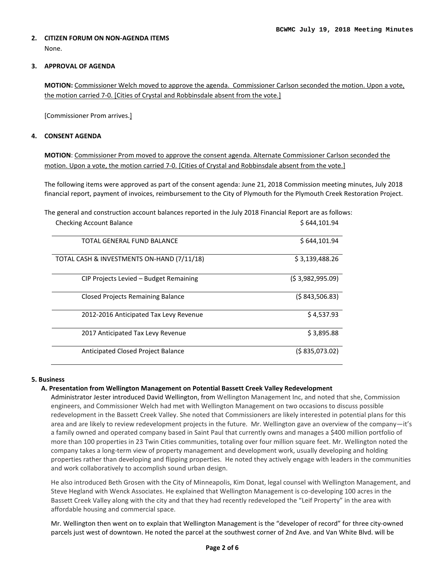## **2. CITIZEN FORUM ON NON-AGENDA ITEMS**  None.

## **3. APPROVAL OF AGENDA**

**MOTION:** Commissioner Welch moved to approve the agenda. Commissioner Carlson seconded the motion. Upon a vote, the motion carried 7-0. [Cities of Crystal and Robbinsdale absent from the vote.]

[Commissioner Prom arrives.]

## **4. CONSENT AGENDA**

**MOTION**: Commissioner Prom moved to approve the consent agenda. Alternate Commissioner Carlson seconded the motion. Upon a vote, the motion carried 7-0. [Cities of Crystal and Robbinsdale absent from the vote.]

The following items were approved as part of the consent agenda: June 21, 2018 Commission meeting minutes, July 2018 financial report, payment of invoices, reimbursement to the City of Plymouth for the Plymouth Creek Restoration Project.

The general and construction account balances reported in the July 2018 Financial Report are as follows:

| <b>Checking Account Balance</b>            | \$644,101.94    |
|--------------------------------------------|-----------------|
| TOTAL GENERAL FUND BALANCE                 | \$644,101.94    |
| TOTAL CASH & INVESTMENTS ON-HAND (7/11/18) | \$3,139,488.26  |
| CIP Projects Levied – Budget Remaining     | (53,982,995.09) |
| <b>Closed Projects Remaining Balance</b>   | (S843,506.83)   |
| 2012-2016 Anticipated Tax Levy Revenue     | \$4,537.93      |
| 2017 Anticipated Tax Levy Revenue          | \$3,895.88      |
| Anticipated Closed Project Balance         | (\$835,073.02)  |

#### **5. Business**

#### **A. Presentation from Wellington Management on Potential Bassett Creek Valley Redevelopment**

Administrator Jester introduced David Wellington, from Wellington Management Inc, and noted that she, Commission engineers, and Commissioner Welch had met with Wellington Management on two occasions to discuss possible redevelopment in the Bassett Creek Valley. She noted that Commissioners are likely interested in potential plans for this area and are likely to review redevelopment projects in the future. Mr. Wellington gave an overview of the company—it's a family owned and operated company based in Saint Paul that currently owns and manages a \$400 million portfolio of more than 100 properties in 23 Twin Cities communities, totaling over four million square feet. Mr. Wellington noted the company takes a long-term view of property management and development work, usually developing and holding properties rather than developing and flipping properties. He noted they actively engage with leaders in the communities and work collaboratively to accomplish sound urban design.

He also introduced Beth Grosen with the City of Minneapolis, Kim Donat, legal counsel with Wellington Management, and Steve Hegland with Wenck Associates. He explained that Wellington Management is co-developing 100 acres in the Bassett Creek Valley along with the city and that they had recently redeveloped the "Leif Property" in the area with affordable housing and commercial space.

Mr. Wellington then went on to explain that Wellington Management is the "developer of record" for three city-owned parcels just west of downtown. He noted the parcel at the southwest corner of 2nd Ave. and Van White Blvd. will be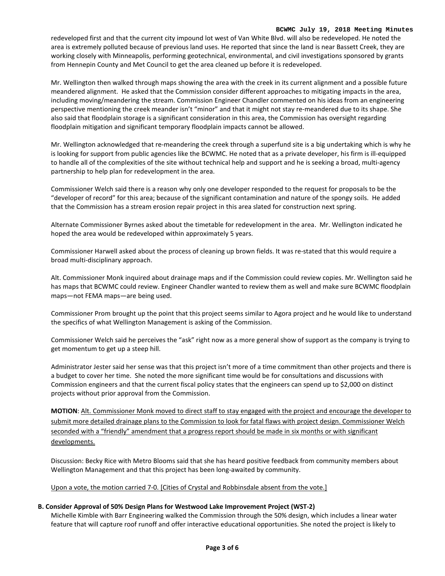#### **BCWMC July 19, 2018 Meeting Minutes**

redeveloped first and that the current city impound lot west of Van White Blvd. will also be redeveloped. He noted the area is extremely polluted because of previous land uses. He reported that since the land is near Bassett Creek, they are working closely with Minneapolis, performing geotechnical, environmental, and civil investigations sponsored by grants from Hennepin County and Met Council to get the area cleaned up before it is redeveloped.

Mr. Wellington then walked through maps showing the area with the creek in its current alignment and a possible future meandered alignment. He asked that the Commission consider different approaches to mitigating impacts in the area, including moving/meandering the stream. Commission Engineer Chandler commented on his ideas from an engineering perspective mentioning the creek meander isn't "minor" and that it might not stay re-meandered due to its shape. She also said that floodplain storage is a significant consideration in this area, the Commission has oversight regarding floodplain mitigation and significant temporary floodplain impacts cannot be allowed.

Mr. Wellington acknowledged that re-meandering the creek through a superfund site is a big undertaking which is why he is looking for support from public agencies like the BCWMC. He noted that as a private developer, his firm is ill-equipped to handle all of the complexities of the site without technical help and support and he is seeking a broad, multi-agency partnership to help plan for redevelopment in the area.

Commissioner Welch said there is a reason why only one developer responded to the request for proposals to be the "developer of record" for this area; because of the significant contamination and nature of the spongy soils. He added that the Commission has a stream erosion repair project in this area slated for construction next spring.

Alternate Commissioner Byrnes asked about the timetable for redevelopment in the area. Mr. Wellington indicated he hoped the area would be redeveloped within approximately 5 years.

Commissioner Harwell asked about the process of cleaning up brown fields. It was re-stated that this would require a broad multi-disciplinary approach.

Alt. Commissioner Monk inquired about drainage maps and if the Commission could review copies. Mr. Wellington said he has maps that BCWMC could review. Engineer Chandler wanted to review them as well and make sure BCWMC floodplain maps—not FEMA maps—are being used.

Commissioner Prom brought up the point that this project seems similar to Agora project and he would like to understand the specifics of what Wellington Management is asking of the Commission.

Commissioner Welch said he perceives the "ask" right now as a more general show of support as the company is trying to get momentum to get up a steep hill.

Administrator Jester said her sense was that this project isn't more of a time commitment than other projects and there is a budget to cover her time. She noted the more significant time would be for consultations and discussions with Commission engineers and that the current fiscal policy states that the engineers can spend up to \$2,000 on distinct projects without prior approval from the Commission.

**MOTION**: Alt. Commissioner Monk moved to direct staff to stay engaged with the project and encourage the developer to submit more detailed drainage plans to the Commission to look for fatal flaws with project design. Commissioner Welch seconded with a "friendly" amendment that a progress report should be made in six months or with significant developments.

Discussion: Becky Rice with Metro Blooms said that she has heard positive feedback from community members about Wellington Management and that this project has been long-awaited by community.

## Upon a vote, the motion carried 7-0. [Cities of Crystal and Robbinsdale absent from the vote.]

## **B. Consider Approval of 50% Design Plans for Westwood Lake Improvement Project (WST-2)**

Michelle Kimble with Barr Engineering walked the Commission through the 50% design, which includes a linear water feature that will capture roof runoff and offer interactive educational opportunities. She noted the project is likely to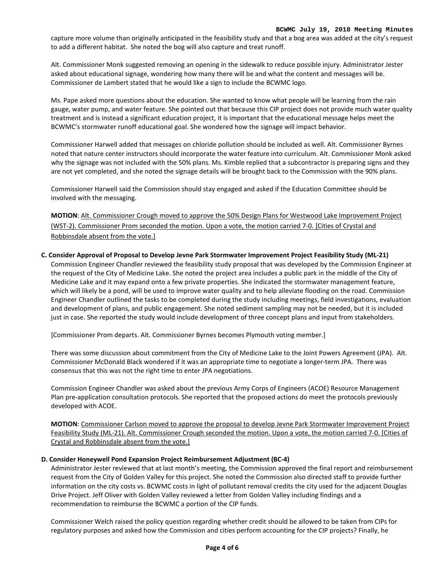capture more volume than originally anticipated in the feasibility study and that a bog area was added at the city's request to add a different habitat. She noted the bog will also capture and treat runoff.

Alt. Commissioner Monk suggested removing an opening in the sidewalk to reduce possible injury. Administrator Jester asked about educational signage, wondering how many there will be and what the content and messages will be. Commissioner de Lambert stated that he would like a sign to include the BCWMC logo.

Ms. Pape asked more questions about the education. She wanted to know what people will be learning from the rain gauge, water pump, and water feature. She pointed out that because this CIP project does not provide much water quality treatment and is instead a significant education project, it is important that the educational message helps meet the BCWMC's stormwater runoff educational goal. She wondered how the signage will impact behavior.

Commissioner Harwell added that messages on chloride pollution should be included as well. Alt. Commissioner Byrnes noted that nature center instructors should incorporate the water feature into curriculum. Alt. Commissioner Monk asked why the signage was not included with the 50% plans. Ms. Kimble replied that a subcontractor is preparing signs and they are not yet completed, and she noted the signage details will be brought back to the Commission with the 90% plans.

Commissioner Harwell said the Commission should stay engaged and asked if the Education Committee should be involved with the messaging.

**MOTION**: Alt. Commissioner Crough moved to approve the 50% Design Plans for Westwood Lake Improvement Project (WST-2). Commissioner Prom seconded the motion. Upon a vote, the motion carried 7-0. [Cities of Crystal and Robbinsdale absent from the vote.]

## **C. Consider Approval of Proposal to Develop Jevne Park Stormwater Improvement Project Feasibility Study (ML-21)**

Commission Engineer Chandler reviewed the feasibility study proposal that was developed by the Commission Engineer at the request of the City of Medicine Lake. She noted the project area includes a public park in the middle of the City of Medicine Lake and it may expand onto a few private properties. She indicated the stormwater management feature, which will likely be a pond, will be used to improve water quality and to help alleviate flooding on the road. Commission Engineer Chandler outlined the tasks to be completed during the study including meetings, field investigations, evaluation and development of plans, and public engagement. She noted sediment sampling may not be needed, but it is included just in case. She reported the study would include development of three concept plans and input from stakeholders.

[Commissioner Prom departs. Alt. Commissioner Byrnes becomes Plymouth voting member.]

There was some discussion about commitment from the City of Medicine Lake to the Joint Powers Agreement (JPA). Alt. Commissioner McDonald Black wondered if it was an appropriate time to negotiate a longer-term JPA. There was consensus that this was not the right time to enter JPA negotiations.

Commission Engineer Chandler was asked about the previous Army Corps of Engineers (ACOE) Resource Management Plan pre-application consultation protocols. She reported that the proposed actions do meet the protocols previously developed with ACOE.

**MOTION**: Commissioner Carlson moved to approve the proposal to develop Jevne Park Stormwater Improvement Project Feasibility Study (ML-21). Alt. Commissioner Crough seconded the motion. Upon a vote, the motion carried 7-0. [Cities of Crystal and Robbinsdale absent from the vote.]

## **D. Consider Honeywell Pond Expansion Project Reimbursement Adjustment (BC-4)**

Administrator Jester reviewed that at last month's meeting, the Commission approved the final report and reimbursement request from the City of Golden Valley for this project. She noted the Commission also directed staff to provide further information on the city costs vs. BCWMC costs in light of pollutant removal credits the city used for the adjacent Douglas Drive Project. Jeff Oliver with Golden Valley reviewed a letter from Golden Valley including findings and a recommendation to reimburse the BCWMC a portion of the CIP funds.

Commissioner Welch raised the policy question regarding whether credit should be allowed to be taken from CIPs for regulatory purposes and asked how the Commission and cities perform accounting for the CIP projects? Finally, he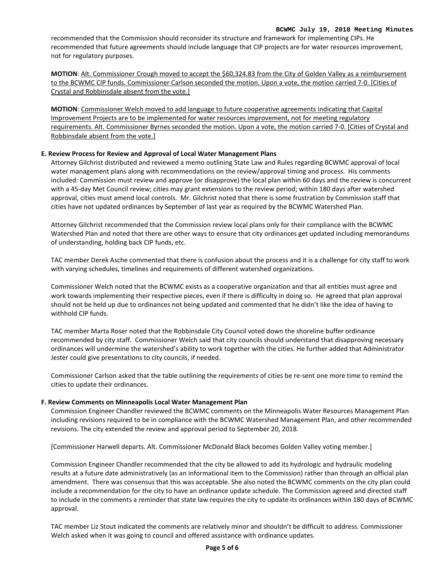#### **BCWMC July 19, 2018 Meeting Minutes**

recommended that the Commission should reconsider its structure and framework for implementing CIPs. He recommended that future agreements should include language that CIP projects are for water resources improvement, not for regulatory purposes.

**MOTION**: Alt. Commissioner Crough moved to accept the \$60,324.83 from the City of Golden Valley as a reimbursement to the BCWMC CIP funds. Commissioner Carlson seconded the motion. Upon a vote, the motion carried 7-0. [Cities of Crystal and Robbinsdale absent from the vote.]

**MOTION**: Commissioner Welch moved to add language to future cooperative agreements indicating that Capital Improvement Projects are to be implemented for water resources improvement, not for meeting regulatory requirements. Alt. Commissioner Byrnes seconded the motion. Upon a vote, the motion carried 7-0. [Cities of Crystal and Robbinsdale absent from the vote.]

## **E. Review Process for Review and Approval of Local Water Management Plans**

Attorney Gilchrist distributed and reviewed a memo outlining State Law and Rules regarding BCWMC approval of local water management plans along with recommendations on the review/approval timing and process. His comments included: Commission must review and approve (or disapprove) the local plan within 60 days and the review is concurrent with a 45-day Met Council review; cities may grant extensions to the review period; within 180 days after watershed approval, cities must amend local controls. Mr. Gilchrist noted that there is some frustration by Commission staff that cities have not updated ordinances by September of last year as required by the BCWMC Watershed Plan.

Attorney Gilchrist recommended that the Commission review local plans only for their compliance with the BCWMC Watershed Plan and noted that there are other ways to ensure that city ordinances get updated including memorandums of understanding, holding back CIP funds, etc.

TAC member Derek Asche commented that there is confusion about the process and it is a challenge for city staff to work with varying schedules, timelines and requirements of different watershed organizations.

Commissioner Welch noted that the BCWMC exists as a cooperative organization and that all entities must agree and work towards implementing their respective pieces, even if there is difficulty in doing so. He agreed that plan approval should not be held up due to ordinances not being updated and commented that he didn't like the idea of having to withhold CIP funds.

TAC member Marta Roser noted that the Robbinsdale City Council voted down the shoreline buffer ordinance recommended by city staff. Commissioner Welch said that city councils should understand that disapproving necessary ordinances will undermine the watershed's ability to work together with the cities. He further added that Administrator Jester could give presentations to city councils, if needed.

Commissioner Carlson asked that the table outlining the requirements of cities be re-sent one more time to remind the cities to update their ordinances.

#### **F. Review Comments on Minneapolis Local Water Management Plan**

Commission Engineer Chandler reviewed the BCWMC comments on the Minneapolis Water Resources Management Plan including revisions required to be in compliance with the BCWMC Watershed Management Plan, and other recommended revisions. The city extended the review and approval period to September 20, 2018.

[Commissioner Harwell departs. Alt. Commissioner McDonald Black becomes Golden Valley voting member.]

Commission Engineer Chandler recommended that the city be allowed to add its hydrologic and hydraulic modeling results at a future date administratively (as an informational item to the Commission) rather than through an official plan amendment. There was consensus that this was acceptable. She also noted the BCWMC comments on the city plan could include a recommendation for the city to have an ordinance update schedule. The Commission agreed and directed staff to include in the comments a reminder that state law requires the city to update its ordinances within 180 days of BCWMC approval.

TAC member Liz Stout indicated the comments are relatively minor and shouldn't be difficult to address. Commissioner Welch asked when it was going to council and offered assistance with ordinance updates.